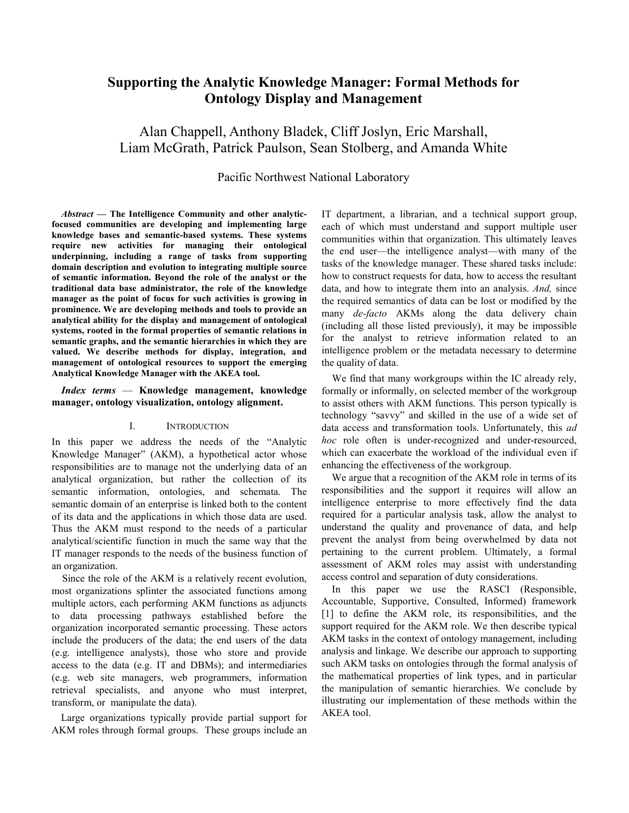# **Supporting the Analytic Knowledge Manager: Formal Methods for Ontology Display and Management**

Alan Chappell, Anthony Bladek, Cliff Joslyn, Eric Marshall, Liam McGrath, Patrick Paulson, Sean Stolberg, and Amanda White

# Pacific Northwest National Laboratory

*Abstract* **— The Intelligence Community and other analyticfocused communities are developing and implementing large knowledge bases and semantic-based systems. These systems require new activities for managing their ontological underpinning, including a range of tasks from supporting domain description and evolution to integrating multiple source of semantic information. Beyond the role of the analyst or the traditional data base administrator, the role of the knowledge manager as the point of focus for such activities is growing in prominence. We are developing methods and tools to provide an analytical ability for the display and management of ontological systems, rooted in the formal properties of semantic relations in semantic graphs, and the semantic hierarchies in which they are valued. We describe methods for display, integration, and management of ontological resources to support the emerging Analytical Knowledge Manager with the AKEA tool.**

*Index terms* — **Knowledge management, knowledge manager, ontology visualization, ontology alignment.**

#### I. INTRODUCTION

In this paper we address the needs of the "Analytic Knowledge Manager" (AKM), a hypothetical actor whose responsibilities are to manage not the underlying data of an analytical organization, but rather the collection of its semantic information, ontologies, and schemata. The semantic domain of an enterprise is linked both to the content of its data and the applications in which those data are used. Thus the AKM must respond to the needs of a particular analytical/scientific function in much the same way that the IT manager responds to the needs of the business function of an organization.

Since the role of the AKM is a relatively recent evolution, most organizations splinter the associated functions among multiple actors, each performing AKM functions as adjuncts to data processing pathways established before the organization incorporated semantic processing. These actors include the producers of the data; the end users of the data (e.g. intelligence analysts), those who store and provide access to the data (e.g. IT and DBMs); and intermediaries (e.g. web site managers, web programmers, information retrieval specialists, and anyone who must interpret, transform, or manipulate the data).

Large organizations typically provide partial support for AKM roles through formal groups. These groups include an IT department, a librarian, and a technical support group, each of which must understand and support multiple user communities within that organization. This ultimately leaves the end user—the intelligence analyst—with many of the tasks of the knowledge manager. These shared tasks include: how to construct requests for data, how to access the resultant data, and how to integrate them into an analysis. *And,* since the required semantics of data can be lost or modified by the many *de-facto* AKMs along the data delivery chain (including all those listed previously), it may be impossible for the analyst to retrieve information related to an intelligence problem or the metadata necessary to determine the quality of data.

We find that many workgroups within the IC already rely, formally or informally, on selected member of the workgroup to assist others with AKM functions. This person typically is technology "savvy" and skilled in the use of a wide set of data access and transformation tools. Unfortunately, this *ad hoc* role often is under-recognized and under-resourced, which can exacerbate the workload of the individual even if enhancing the effectiveness of the workgroup.

We argue that a recognition of the AKM role in terms of its responsibilities and the support it requires will allow an intelligence enterprise to more effectively find the data required for a particular analysis task, allow the analyst to understand the quality and provenance of data, and help prevent the analyst from being overwhelmed by data not pertaining to the current problem. Ultimately, a formal assessment of AKM roles may assist with understanding access control and separation of duty considerations.

In this paper we use the RASCI (Responsible, Accountable, Supportive, Consulted, Informed) framework [1] to define the AKM role, its responsibilities, and the support required for the AKM role. We then describe typical AKM tasks in the context of ontology management, including analysis and linkage. We describe our approach to supporting such AKM tasks on ontologies through the formal analysis of the mathematical properties of link types, and in particular the manipulation of semantic hierarchies. We conclude by illustrating our implementation of these methods within the AKEA tool.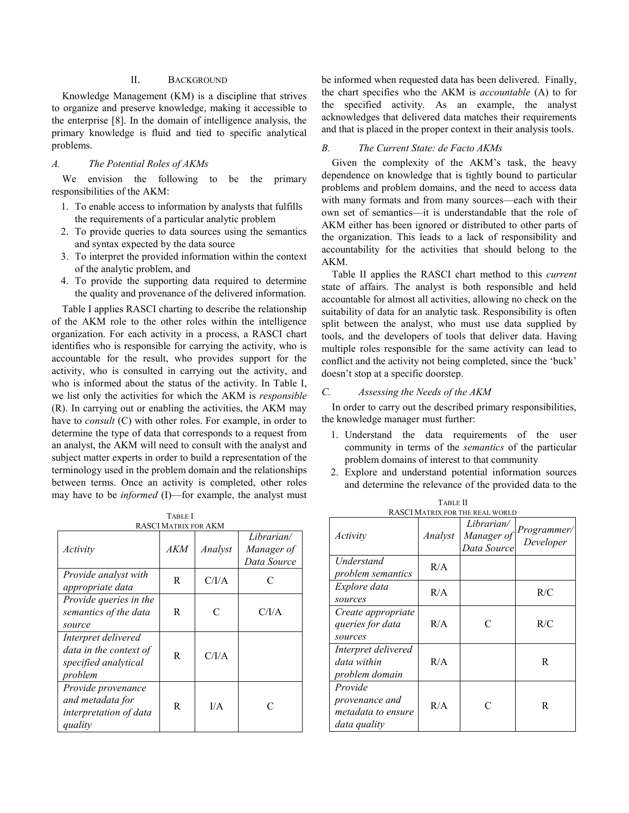## II. BACKGROUND

Knowledge Management (KM) is a discipline that strives to organize and preserve knowledge, making it accessible to the enterprise [8]. In the domain of intelligence analysis, the primary knowledge is fluid and tied to specific analytical problems.

#### *A. The Potential Roles of AKMs*

We envision the following to be the primary responsibilities of the AKM:

- 1. To enable access to information by analysts that fulfills the requirements of a particular analytic problem
- 2. To provide queries to data sources using the semantics and syntax expected by the data source
- 3. To interpret the provided information within the context of the analytic problem, and
- 4. To provide the supporting data required to determine the quality and provenance of the delivered information.

Table I applies RASCI charting to describe the relationship of the AKM role to the other roles within the intelligence organization. For each activity in a process, a RASCI chart identifies who is responsible for carrying the activity, who is accountable for the result, who provides support for the activity, who is consulted in carrying out the activity, and who is informed about the status of the activity. In Table I, we list only the activities for which the AKM is *responsible* (R). In carrying out or enabling the activities, the AKM may have to *consult* (C) with other roles. For example, in order to determine the type of data that corresponds to a request from an analyst, the AKM will need to consult with the analyst and subject matter experts in order to build a representation of the terminology used in the problem domain and the relationships between terms. Once an activity is completed, other roles may have to be *informed* (I)—for example, the analyst must

TABLE I RASCI MATRIX FOR AKM

| KAƏCI MATKIA FUK ANM                                                             |     |         |                                         |  |
|----------------------------------------------------------------------------------|-----|---------|-----------------------------------------|--|
| Activity                                                                         | AKM | Analyst | Librarian/<br>Manager of<br>Data Source |  |
| Provide analyst with<br>appropriate data                                         | R   | C/I/A   | C                                       |  |
| Provide queries in the<br>semantics of the data<br>source                        | R   | C       | C/IA                                    |  |
| Interpret delivered<br>data in the context of<br>specified analytical<br>problem | R   | C/I/A   |                                         |  |
| Provide provenance<br>and metadata for<br>interpretation of data<br>quality      | R   | I/A     |                                         |  |

be informed when requested data has been delivered. Finally, the chart specifies who the AKM is *accountable* (A) to for the specified activity. As an example, the analyst acknowledges that delivered data matches their requirements and that is placed in the proper context in their analysis tools.

### *B. The Current State: de Facto AKMs*

Given the complexity of the AKM's task, the heavy dependence on knowledge that is tightly bound to particular problems and problem domains, and the need to access data with many formats and from many sources—each with their own set of semantics—it is understandable that the role of AKM either has been ignored or distributed to other parts of the organization. This leads to a lack of responsibility and accountability for the activities that should belong to the AKM.

Table II applies the RASCI chart method to this *current* state of affairs. The analyst is both responsible and held accountable for almost all activities, allowing no check on the suitability of data for an analytic task. Responsibility is often split between the analyst, who must use data supplied by tools, and the developers of tools that deliver data. Having multiple roles responsible for the same activity can lead to conflict and the activity not being completed, since the 'buck' doesn't stop at a specific doorstep.

#### *C. Assessing the Needs of the AKM*

In order to carry out the described primary responsibilities, the knowledge manager must further:

- 1. Understand the data requirements of the user community in terms of the *semantics* of the particular problem domains of interest to that community
- 2. Explore and understand potential information sources and determine the relevance of the provided data to the

|                                                                 |         | KASUI MAI KIA FOR THE REAL WORLD        |                          |
|-----------------------------------------------------------------|---------|-----------------------------------------|--------------------------|
| Activity                                                        | Analyst | Librarian/<br>Manager of<br>Data Source | Programmer/<br>Developer |
| Understand<br>problem semantics                                 | R/A     |                                         |                          |
| Explore data<br>sources                                         | R/A     |                                         | R/C                      |
| Create appropriate<br>queries for data<br>sources               | R/A     | $\subset$                               | R/C                      |
| Interpret delivered<br>data within<br>problem domain            | R/A     |                                         | R                        |
| Provide<br>provenance and<br>metadata to ensure<br>data quality | R/A     | $\subset$                               | R                        |

TABLE II<br>WEOD THE REAL WORLD RASCI MATRIX FOR THE REAL WORLD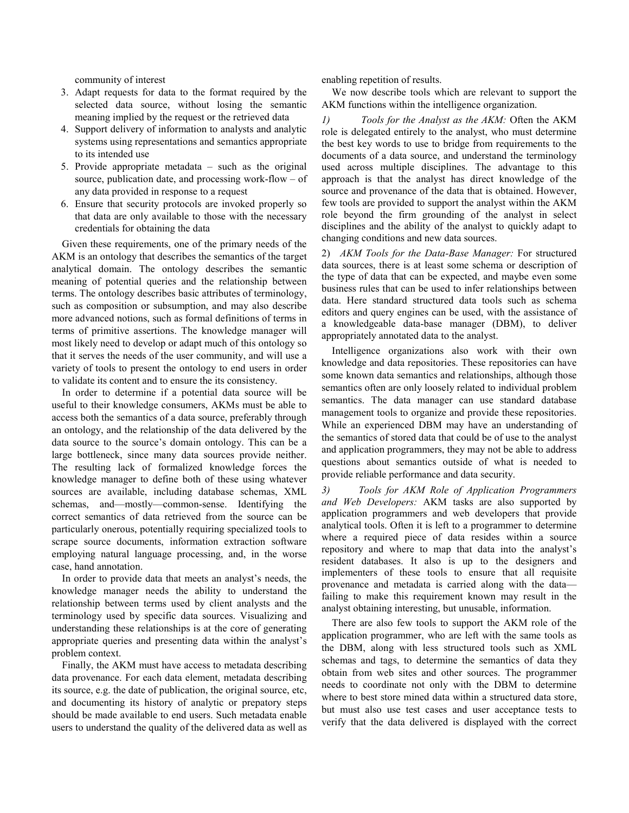community of interest

- 3. Adapt requests for data to the format required by the selected data source, without losing the semantic meaning implied by the request or the retrieved data
- 4. Support delivery of information to analysts and analytic systems using representations and semantics appropriate to its intended use
- 5. Provide appropriate metadata such as the original source, publication date, and processing work-flow – of any data provided in response to a request
- 6. Ensure that security protocols are invoked properly so that data are only available to those with the necessary credentials for obtaining the data

Given these requirements, one of the primary needs of the AKM is an ontology that describes the semantics of the target analytical domain. The ontology describes the semantic meaning of potential queries and the relationship between terms. The ontology describes basic attributes of terminology, such as composition or subsumption, and may also describe more advanced notions, such as formal definitions of terms in terms of primitive assertions. The knowledge manager will most likely need to develop or adapt much of this ontology so that it serves the needs of the user community, and will use a variety of tools to present the ontology to end users in order to validate its content and to ensure the its consistency.

In order to determine if a potential data source will be useful to their knowledge consumers, AKMs must be able to access both the semantics of a data source, preferably through an ontology, and the relationship of the data delivered by the data source to the source's domain ontology. This can be a large bottleneck, since many data sources provide neither. The resulting lack of formalized knowledge forces the knowledge manager to define both of these using whatever sources are available, including database schemas, XML schemas, and—mostly—common-sense. Identifying the correct semantics of data retrieved from the source can be particularly onerous, potentially requiring specialized tools to scrape source documents, information extraction software employing natural language processing, and, in the worse case, hand annotation.

In order to provide data that meets an analyst's needs, the knowledge manager needs the ability to understand the relationship between terms used by client analysts and the terminology used by specific data sources. Visualizing and understanding these relationships is at the core of generating appropriate queries and presenting data within the analyst's problem context.

Finally, the AKM must have access to metadata describing data provenance. For each data element, metadata describing its source, e.g. the date of publication, the original source, etc, and documenting its history of analytic or prepatory steps should be made available to end users. Such metadata enable users to understand the quality of the delivered data as well as

enabling repetition of results.

We now describe tools which are relevant to support the AKM functions within the intelligence organization.

*1) Tools for the Analyst as the AKM:* Often the AKM role is delegated entirely to the analyst, who must determine the best key words to use to bridge from requirements to the documents of a data source, and understand the terminology used across multiple disciplines. The advantage to this approach is that the analyst has direct knowledge of the source and provenance of the data that is obtained. However, few tools are provided to support the analyst within the AKM role beyond the firm grounding of the analyst in select disciplines and the ability of the analyst to quickly adapt to changing conditions and new data sources.

2) *AKM Tools for the Data-Base Manager:* For structured data sources, there is at least some schema or description of the type of data that can be expected, and maybe even some business rules that can be used to infer relationships between data. Here standard structured data tools such as schema editors and query engines can be used, with the assistance of a knowledgeable data-base manager (DBM), to deliver appropriately annotated data to the analyst.

Intelligence organizations also work with their own knowledge and data repositories. These repositories can have some known data semantics and relationships, although those semantics often are only loosely related to individual problem semantics. The data manager can use standard database management tools to organize and provide these repositories. While an experienced DBM may have an understanding of the semantics of stored data that could be of use to the analyst and application programmers, they may not be able to address questions about semantics outside of what is needed to provide reliable performance and data security.

*3) Tools for AKM Role of Application Programmers and Web Developers:* AKM tasks are also supported by application programmers and web developers that provide analytical tools. Often it is left to a programmer to determine where a required piece of data resides within a source repository and where to map that data into the analyst's resident databases. It also is up to the designers and implementers of these tools to ensure that all requisite provenance and metadata is carried along with the data failing to make this requirement known may result in the analyst obtaining interesting, but unusable, information.

There are also few tools to support the AKM role of the application programmer, who are left with the same tools as the DBM, along with less structured tools such as XML schemas and tags, to determine the semantics of data they obtain from web sites and other sources. The programmer needs to coordinate not only with the DBM to determine where to best store mined data within a structured data store, but must also use test cases and user acceptance tests to verify that the data delivered is displayed with the correct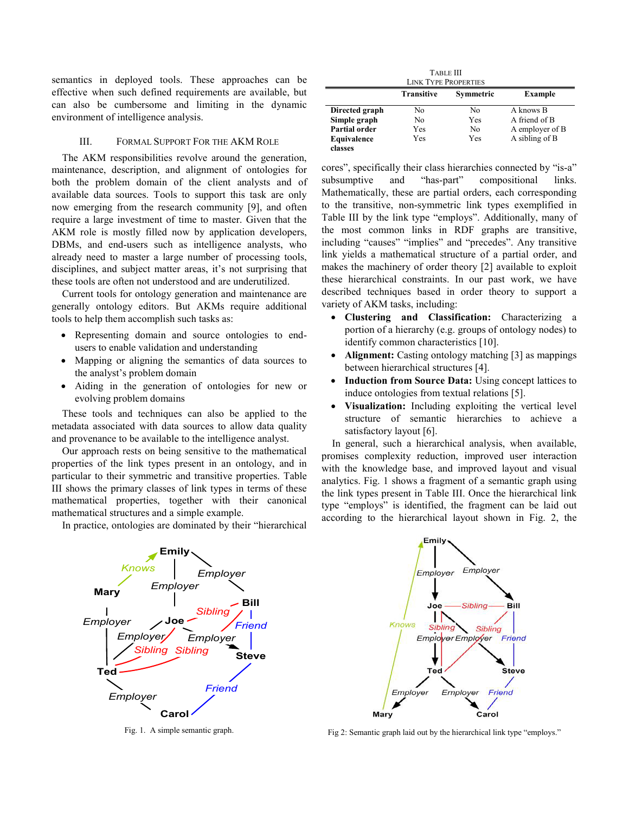semantics in deployed tools. These approaches can be effective when such defined requirements are available, but can also be cumbersome and limiting in the dynamic environment of intelligence analysis.

#### III. FORMAL SUPPORT FOR THE AKM ROLE

The AKM responsibilities revolve around the generation, maintenance, description, and alignment of ontologies for both the problem domain of the client analysts and of available data sources. Tools to support this task are only now emerging from the research community [9], and often require a large investment of time to master. Given that the AKM role is mostly filled now by application developers, DBMs, and end-users such as intelligence analysts, who already need to master a large number of processing tools, disciplines, and subject matter areas, it's not surprising that these tools are often not understood and are underutilized.

Current tools for ontology generation and maintenance are generally ontology editors. But AKMs require additional tools to help them accomplish such tasks as:

- Representing domain and source ontologies to endusers to enable validation and understanding
- Mapping or aligning the semantics of data sources to the analyst's problem domain
- Aiding in the generation of ontologies for new or evolving problem domains

These tools and techniques can also be applied to the metadata associated with data sources to allow data quality and provenance to be available to the intelligence analyst.

Our approach rests on being sensitive to the mathematical properties of the link types present in an ontology, and in particular to their symmetric and transitive properties. Table III shows the primary classes of link types in terms of these mathematical properties, together with their canonical mathematical structures and a simple example.

In practice, ontologies are dominated by their "hierarchical

| <b>TABLE III</b><br><b>LINK TYPE PROPERTIES</b> |                   |           |                 |  |  |  |
|-------------------------------------------------|-------------------|-----------|-----------------|--|--|--|
|                                                 | <b>Transitive</b> | Symmetric | <b>Example</b>  |  |  |  |
| Directed graph                                  | No                | No        | A knows B       |  |  |  |
| Simple graph                                    | No                | Yes       | A friend of B   |  |  |  |
| Partial order                                   | Yes               | No        | A employer of B |  |  |  |
| Equivalence                                     | Yes               | Yes       | A sibling of B  |  |  |  |
| classes                                         |                   |           |                 |  |  |  |

cores", specifically their class hierarchies connected by "is-a" subsumptive and "has-part" compositional links. Mathematically, these are partial orders, each corresponding to the transitive, non-symmetric link types exemplified in Table III by the link type "employs". Additionally, many of the most common links in RDF graphs are transitive, including "causes" "implies" and "precedes". Any transitive link yields a mathematical structure of a partial order, and makes the machinery of order theory [2] available to exploit these hierarchical constraints. In our past work, we have described techniques based in order theory to support a variety of AKM tasks, including:

- x **Clustering and Classification:** Characterizing a portion of a hierarchy (e.g. groups of ontology nodes) to identify common characteristics [10].
- Alignment: Casting ontology matching [3] as mappings between hierarchical structures [4].
- **Induction from Source Data:** Using concept lattices to induce ontologies from textual relations [5].
- Visualization: Including exploiting the vertical level structure of semantic hierarchies to achieve a satisfactory layout [6].

In general, such a hierarchical analysis, when available, promises complexity reduction, improved user interaction with the knowledge base, and improved layout and visual analytics. Fig. 1 shows a fragment of a semantic graph using the link types present in Table III. Once the hierarchical link type "employs" is identified, the fragment can be laid out according to the hierarchical layout shown in Fig. 2, the



Fig. 1. A simple semantic graph.



Fig 2: Semantic graph laid out by the hierarchical link type "employs."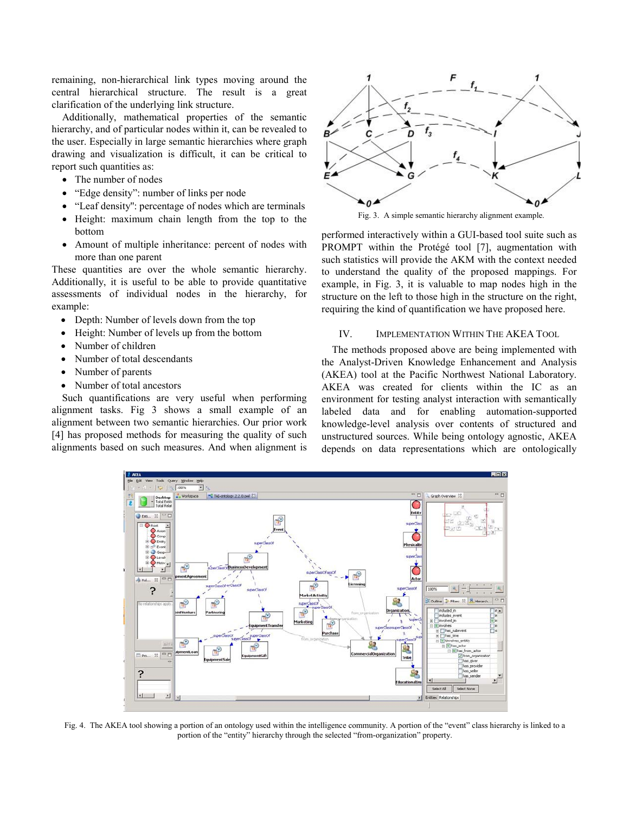remaining, non-hierarchical link types moving around the central hierarchical structure. The result is a great clarification of the underlying link structure.

Additionally, mathematical properties of the semantic hierarchy, and of particular nodes within it, can be revealed to the user. Especially in large semantic hierarchies where graph drawing and visualization is difficult, it can be critical to report such quantities as:

- The number of nodes
- "Edge density": number of links per node
- "Leaf density": percentage of nodes which are terminals
- Height: maximum chain length from the top to the bottom
- Amount of multiple inheritance: percent of nodes with more than one parent

These quantities are over the whole semantic hierarchy. Additionally, it is useful to be able to provide quantitative assessments of individual nodes in the hierarchy, for example:

- Depth: Number of levels down from the top
- Height: Number of levels up from the bottom
- Number of children
- Number of total descendants
- Number of parents
- Number of total ancestors

Such quantifications are very useful when performing alignment tasks. Fig 3 shows a small example of an alignment between two semantic hierarchies. Our prior work [4] has proposed methods for measuring the quality of such alignments based on such measures. And when alignment is



Fig. 3. A simple semantic hierarchy alignment example.

performed interactively within a GUI-based tool suite such as PROMPT within the Protégé tool [7], augmentation with such statistics will provide the AKM with the context needed to understand the quality of the proposed mappings. For example, in Fig. 3, it is valuable to map nodes high in the structure on the left to those high in the structure on the right, requiring the kind of quantification we have proposed here.

## IV. IMPLEMENTATION WITHIN THE AKEA TOOL

The methods proposed above are being implemented with the Analyst-Driven Knowledge Enhancement and Analysis (AKEA) tool at the Pacific Northwest National Laboratory. AKEA was created for clients within the IC as an environment for testing analyst interaction with semantically labeled data and for enabling automation-supported knowledge-level analysis over contents of structured and unstructured sources. While being ontology agnostic, AKEA depends on data representations which are ontologically



Fig. 4. The AKEA tool showing a portion of an ontology used within the intelligence community. A portion of the "event" class hierarchy is linked to a portion of the "entity" hierarchy through the selected "from-organization" property.